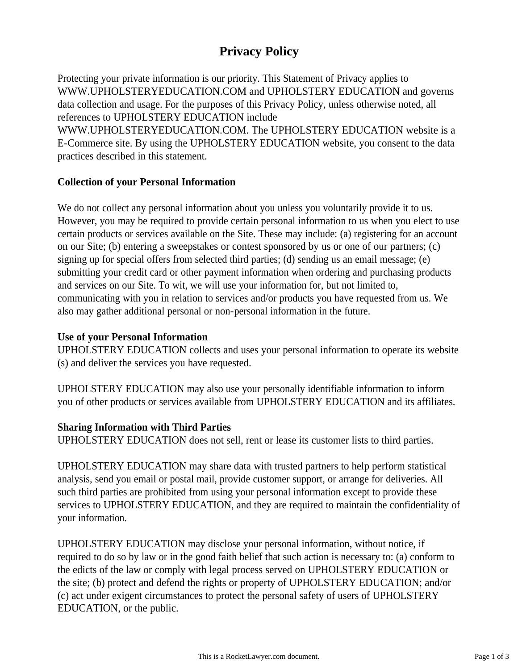# **Privacy Policy**

Protecting your private information is our priority. This Statement of Privacy applies to WWW.UPHOLSTERYEDUCATION.COM and UPHOLSTERY EDUCATION and governs data collection and usage. For the purposes of this Privacy Policy, unless otherwise noted, all references to UPHOLSTERY EDUCATION include

WWW.UPHOLSTERYEDUCATION.COM. The UPHOLSTERY EDUCATION website is a E-Commerce site. By using the UPHOLSTERY EDUCATION website, you consent to the data practices described in this statement.

# **Collection of your Personal Information**

We do not collect any personal information about you unless you voluntarily provide it to us. However, you may be required to provide certain personal information to us when you elect to use certain products or services available on the Site. These may include: (a) registering for an account on our Site; (b) entering a sweepstakes or contest sponsored by us or one of our partners; (c) signing up for special offers from selected third parties; (d) sending us an email message; (e) submitting your credit card or other payment information when ordering and purchasing products and services on our Site. To wit, we will use your information for, but not limited to, communicating with you in relation to services and/or products you have requested from us. We also may gather additional personal or non-personal information in the future.

### **Use of your Personal Information**

UPHOLSTERY EDUCATION collects and uses your personal information to operate its website (s) and deliver the services you have requested.

UPHOLSTERY EDUCATION may also use your personally identifiable information to inform you of other products or services available from UPHOLSTERY EDUCATION and its affiliates.

### **Sharing Information with Third Parties**

UPHOLSTERY EDUCATION does not sell, rent or lease its customer lists to third parties.

UPHOLSTERY EDUCATION may share data with trusted partners to help perform statistical analysis, send you email or postal mail, provide customer support, or arrange for deliveries. All such third parties are prohibited from using your personal information except to provide these services to UPHOLSTERY EDUCATION, and they are required to maintain the confidentiality of your information.

UPHOLSTERY EDUCATION may disclose your personal information, without notice, if required to do so by law or in the good faith belief that such action is necessary to: (a) conform to the edicts of the law or comply with legal process served on UPHOLSTERY EDUCATION or the site; (b) protect and defend the rights or property of UPHOLSTERY EDUCATION; and/or (c) act under exigent circumstances to protect the personal safety of users of UPHOLSTERY EDUCATION, or the public.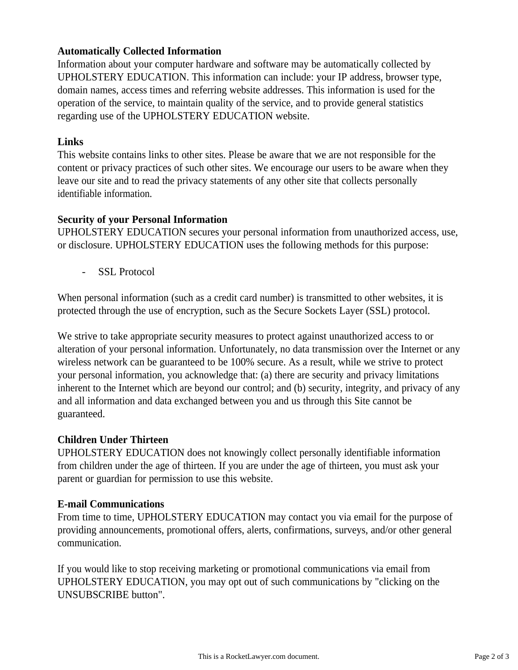# **Automatically Collected Information**

Information about your computer hardware and software may be automatically collected by UPHOLSTERY EDUCATION. This information can include: your IP address, browser type, domain names, access times and referring website addresses. This information is used for the operation of the service, to maintain quality of the service, and to provide general statistics regarding use of the UPHOLSTERY EDUCATION website.

#### **Links**

This website contains links to other sites. Please be aware that we are not responsible for the content or privacy practices of such other sites. We encourage our users to be aware when they leave our site and to read the privacy statements of any other site that collects personally identifiable information.

### **Security of your Personal Information**

UPHOLSTERY EDUCATION secures your personal information from unauthorized access, use, or disclosure. UPHOLSTERY EDUCATION uses the following methods for this purpose:

- SSL Protocol

When personal information (such as a credit card number) is transmitted to other websites, it is protected through the use of encryption, such as the Secure Sockets Layer (SSL) protocol.

We strive to take appropriate security measures to protect against unauthorized access to or alteration of your personal information. Unfortunately, no data transmission over the Internet or any wireless network can be guaranteed to be 100% secure. As a result, while we strive to protect your personal information, you acknowledge that: (a) there are security and privacy limitations inherent to the Internet which are beyond our control; and (b) security, integrity, and privacy of any and all information and data exchanged between you and us through this Site cannot be guaranteed.

#### **Children Under Thirteen**

UPHOLSTERY EDUCATION does not knowingly collect personally identifiable information from children under the age of thirteen. If you are under the age of thirteen, you must ask your parent or guardian for permission to use this website.

#### **E-mail Communications**

From time to time, UPHOLSTERY EDUCATION may contact you via email for the purpose of providing announcements, promotional offers, alerts, confirmations, surveys, and/or other general communication.

If you would like to stop receiving marketing or promotional communications via email from UPHOLSTERY EDUCATION, you may opt out of such communications by "clicking on the UNSUBSCRIBE button".